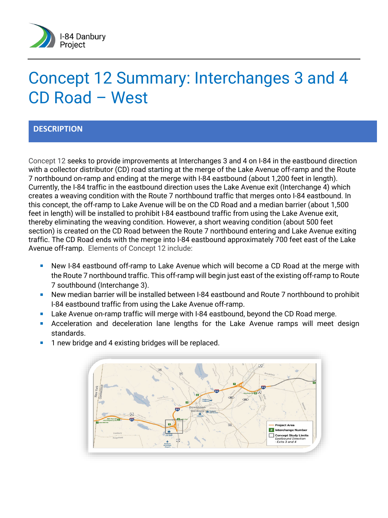

# Concept 12 Summary: Interchanges 3 and 4 CD Road – West

### **DESCRIPTION**

Concept 12 seeks to provide improvements at Interchanges 3 and 4 on I-84 in the eastbound direction with a collector distributor (CD) road starting at the merge of the Lake Avenue off-ramp and the Route 7 northbound on-ramp and ending at the merge with I-84 eastbound (about 1,200 feet in length). Currently, the I-84 traffic in the eastbound direction uses the Lake Avenue exit (Interchange 4) which creates a weaving condition with the Route 7 northbound traffic that merges onto I-84 eastbound. In this concept, the off-ramp to Lake Avenue will be on the CD Road and a median barrier (about 1,500 feet in length) will be installed to prohibit I-84 eastbound traffic from using the Lake Avenue exit, thereby eliminating the weaving condition. However, a short weaving condition (about 500 feet section) is created on the CD Road between the Route 7 northbound entering and Lake Avenue exiting traffic. The CD Road ends with the merge into I-84 eastbound approximately 700 feet east of the Lake Avenue off-ramp. Elements of Concept 12 include:

- New I-84 eastbound off-ramp to Lake Avenue which will become a CD Road at the merge with the Route 7 northbound traffic. This off-ramp will begin just east of the existing off-ramp to Route 7 southbound (Interchange 3).
- New median barrier will be installed between I-84 eastbound and Route 7 northbound to prohibit I-84 eastbound traffic from using the Lake Avenue off-ramp.
- **Lake Avenue on-ramp traffic will merge with I-84 eastbound, beyond the CD Road merge.**
- **Acceleration and deceleration lane lengths for the Lake Avenue ramps will meet design** standards.
	- **OD** Day **Project Area** # Interchange M Concept Study Limit<br>Eastbound Direction<br>Exits 3 and 4
- **1** new bridge and 4 existing bridges will be replaced.